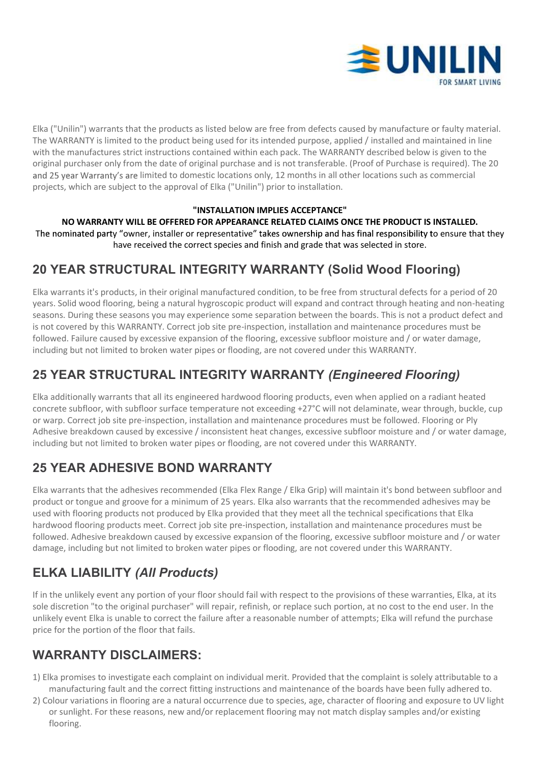

Elka ("Unilin") warrants that the products as listed below are free from defects caused by manufacture or faulty material. The WARRANTY is limited to the product being used for its intended purpose, applied / installed and maintained in line with the manufactures strict instructions contained within each pack. The WARRANTY described below is given to the original purchaser only from the date of original purchase and is not transferable. (Proof of Purchase is required). The 20 and 25 year Warranty's are limited to domestic locations only, 12 months in all other locations such as commercial projects, which are subject to the approval of Elka ("Unilin") prior to installation. IF THE PRODUCT SI INSTALLED.<br>
IF THE SERVICE IS A STANTY is limited to the products as listed below are free from defects caused by manufacture or faulty material.<br>
RERANTY is limited to the product being used to its inten

#### "INSTALLATION IMPLIES ACCEPTANCE"

The nominated party "owner, installer or representative" takes ownership and has final responsibility to ensure that they have received the correct species and finish and grade that was selected in store.

### 20 YEAR STRUCTURAL INTEGRITY WARRANTY (Solid Wood Flooring)

Elka warrants it's products, in their original manufactured condition, to be free from structural defects for a period of 20 years. Solid wood flooring, being a natural hygroscopic product will expand and contract through heating and non-heating seasons. During these seasons you may experience some separation between the boards. This is not a product defect and is not covered by this WARRANTY. Correct job site pre-inspection, installation and maintenance procedures must be followed. Failure caused by excessive expansion of the flooring, excessive subfloor moisture and / or water damage, including but not limited to broken water pipes or flooding, are not covered under this WARRANTY.

# 25 YEAR STRUCTURAL INTEGRITY WARRANTY (Engineered Flooring)

Elka additionally warrants that all its engineered hardwood flooring products, even when applied on a radiant heated concrete subfloor, with subfloor surface temperature not exceeding +27°C will not delaminate, wear through, buckle, cup or warp. Correct job site pre-inspection, installation and maintenance procedures must be followed. Flooring or Ply Adhesive breakdown caused by excessive / inconsistent heat changes, excessive subfloor moisture and / or water damage, including but not limited to broken water pipes or flooding, are not covered under this WARRANTY.

### 25 YEAR ADHESIVE BOND WARRANTY

Elka warrants that the adhesives recommended (Elka Flex Range / Elka Grip) will maintain it's bond between subfloor and product or tongue and groove for a minimum of 25 years. Elka also warrants that the recommended adhesives may be used with flooring products not produced by Elka provided that they meet all the technical specifications that Elka hardwood flooring products meet. Correct job site pre-inspection, installation and maintenance procedures must be followed. Adhesive breakdown caused by excessive expansion of the flooring, excessive subfloor moisture and / or water damage, including but not limited to broken water pipes or flooding, are not covered under this WARRANTY. **25 YEAR ADHESIVE BOND WARRANTY**<br>
Elka warrants that the adhesives recommended (Elka Flex Range / Elka Grip) will maintain it's bond between subfloor and<br>
product or tongue and groove for a minimum of 25 years. Elka also Elka warrants that the adhesives recommended (Elka Flex Range / Elka Grip) will maintain it's bond between subfloor and<br>product or tongue and groove for a minimum of 25 years. Elka also warrants that the recommended adhesi

# ELKA LIABILITY (All Products)

If in the unlikely event any portion of your floor should fail with respect to the provisions of these warranties, Elka, at its sole discretion "to the original purchaser" will repair, refinish, or replace such portion, at no cost to the end user. In the unlikely event Elka is unable to correct the failure after a reasonable number of attempts; Elka will refund the purchase price for the portion of the floor that fails.

# WARRANTY DISCLAIMERS:

- manufacturing fault and the correct fitting instructions and maintenance of the boards have been fully adhered to.
- or sunlight. For these reasons, new and/or replacement flooring may not match display samples and/or existing flooring.